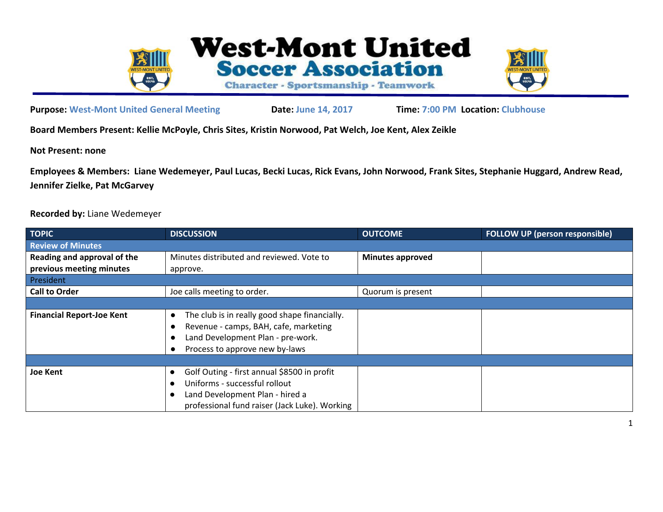



**Purpose: West-Mont United General Meeting Date: June 14, 2017 Time: 7:00 PM Location: Clubhouse**

**Board Members Present: Kellie McPoyle, Chris Sites, Kristin Norwood, Pat Welch, Joe Kent, Alex Zeikle**

**Not Present: none**

**Employees & Members: Liane Wedemeyer, Paul Lucas, Becki Lucas, Rick Evans, John Norwood, Frank Sites, Stephanie Huggard, Andrew Read, Jennifer Zielke, Pat McGarvey**

**Recorded by:** Liane Wedemeyer

| <b>TOPIC</b>                     | <b>DISCUSSION</b>                                                                                                                                             | <b>OUTCOME</b>          | <b>FOLLOW UP (person responsible)</b> |
|----------------------------------|---------------------------------------------------------------------------------------------------------------------------------------------------------------|-------------------------|---------------------------------------|
| <b>Review of Minutes</b>         |                                                                                                                                                               |                         |                                       |
| Reading and approval of the      | Minutes distributed and reviewed. Vote to                                                                                                                     | <b>Minutes approved</b> |                                       |
| previous meeting minutes         | approve.                                                                                                                                                      |                         |                                       |
| President                        |                                                                                                                                                               |                         |                                       |
| <b>Call to Order</b>             | Joe calls meeting to order.                                                                                                                                   | Quorum is present       |                                       |
|                                  |                                                                                                                                                               |                         |                                       |
| <b>Financial Report-Joe Kent</b> | The club is in really good shape financially.<br>Revenue - camps, BAH, cafe, marketing<br>Land Development Plan - pre-work.<br>Process to approve new by-laws |                         |                                       |
|                                  |                                                                                                                                                               |                         |                                       |
| <b>Joe Kent</b>                  | Golf Outing - first annual \$8500 in profit                                                                                                                   |                         |                                       |
|                                  | Uniforms - successful rollout                                                                                                                                 |                         |                                       |
|                                  | Land Development Plan - hired a                                                                                                                               |                         |                                       |
|                                  | professional fund raiser (Jack Luke). Working                                                                                                                 |                         |                                       |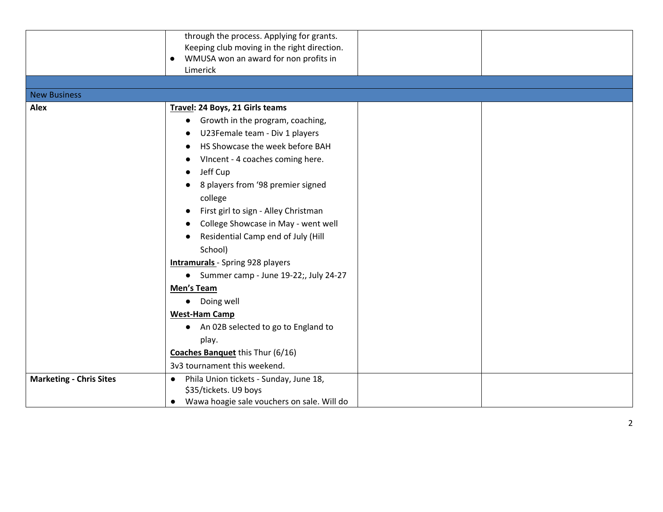|                                | through the process. Applying for grants.               |
|--------------------------------|---------------------------------------------------------|
|                                | Keeping club moving in the right direction.             |
|                                | WMUSA won an award for non profits in<br>$\bullet$      |
|                                | Limerick                                                |
|                                |                                                         |
| <b>New Business</b>            |                                                         |
| Alex                           | Travel: 24 Boys, 21 Girls teams                         |
|                                | Growth in the program, coaching,<br>$\bullet$           |
|                                | U23Female team - Div 1 players                          |
|                                | HS Showcase the week before BAH                         |
|                                | VIncent - 4 coaches coming here.                        |
|                                | Jeff Cup                                                |
|                                | 8 players from '98 premier signed                       |
|                                | college                                                 |
|                                | First girl to sign - Alley Christman                    |
|                                | College Showcase in May - went well                     |
|                                | Residential Camp end of July (Hill                      |
|                                | School)                                                 |
|                                | <b>Intramurals</b> - Spring 928 players                 |
|                                | • Summer camp - June 19-22;, July 24-27                 |
|                                | Men's Team                                              |
|                                | • Doing well                                            |
|                                | <b>West-Ham Camp</b>                                    |
|                                | An 02B selected to go to England to<br>$\bullet$        |
|                                | play.                                                   |
|                                | <b>Coaches Banquet this Thur (6/16)</b>                 |
|                                | 3v3 tournament this weekend.                            |
| <b>Marketing - Chris Sites</b> | Phila Union tickets - Sunday, June 18,<br>$\bullet$     |
|                                | \$35/tickets. U9 boys                                   |
|                                | Wawa hoagie sale vouchers on sale. Will do<br>$\bullet$ |